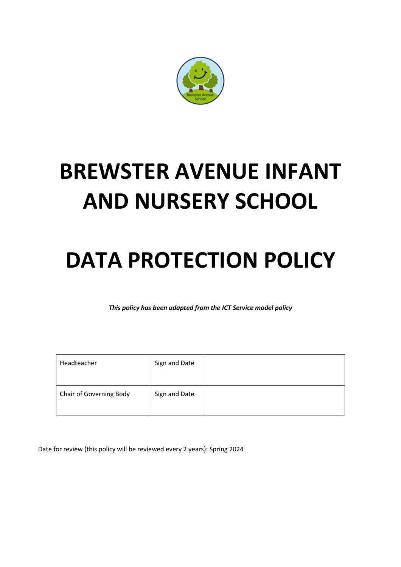

# **BREWSTER AVENUE INFANT AND NURSERY SCHOOL**

# **DATA PROTECTION POLICY**

*This policy has been adapted from the ICT Service model policy*

| Headteacher             | Sign and Date |  |
|-------------------------|---------------|--|
| Chair of Governing Body | Sign and Date |  |

Date for review (this policy will be reviewed every 2 years): Spring 2024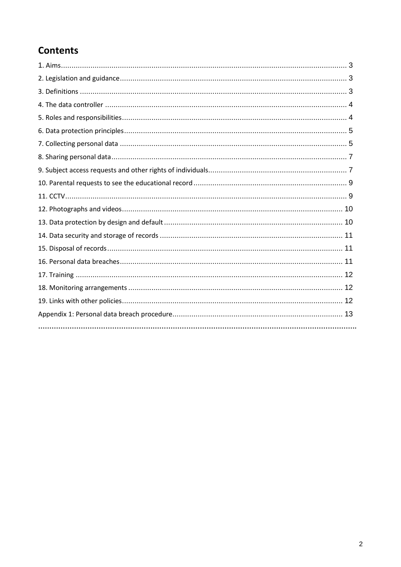# **Contents**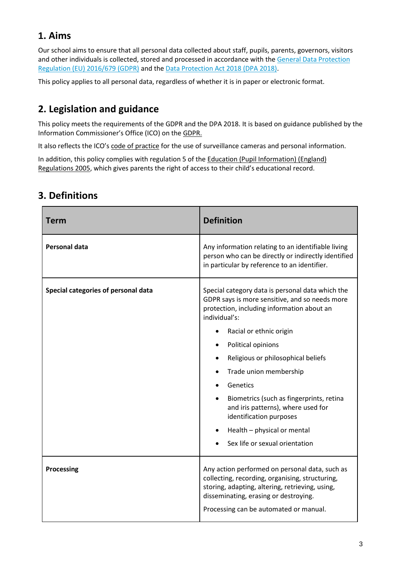# **1. Aims**

Our school aims to ensure that all personal data collected about staff, pupils, parents, governors, visitors and other individuals is collected, stored and processed in accordance with the General Data Protection [Regulation \(EU\) 2016/679 \(GDPR\)](https://eur-lex.europa.eu/legal-content/EN/TXT/?qid=1528874672298&uri=CELEX:02016R0679-20160504) and the [Data Protection Act 2018 \(DPA 2018\).](http://www.legislation.gov.uk/ukpga/2018/12/contents/enacted)

This policy applies to all personal data, regardless of whether it is in paper or electronic format.

# **2. Legislation and guidance**

This policy meets the requirements of the GDPR and the DPA 2018. It is based on guidance published by the Information Commissioner's Office (ICO) on th[e GDPR.](https://ico.org.uk/for-organisations/guide-to-the-general-data-protection-regulation-gdpr/)

It also reflects the ICO's [code of practice](https://ico.org.uk/media/for-organisations/documents/1542/cctv-code-of-practice.pdf) for the use of surveillance cameras and personal information.

In addition, this policy complies with regulation 5 of the Education (Pupil Information) (England) [Regulations 2005](http://www.legislation.gov.uk/uksi/2005/1437/regulation/5/made), which gives parents the right of access to their child's educational record.

| <b>Term</b>                         | <b>Definition</b>                                                                                                                                                                                                                                                                                                                                                                                                                                                            |
|-------------------------------------|------------------------------------------------------------------------------------------------------------------------------------------------------------------------------------------------------------------------------------------------------------------------------------------------------------------------------------------------------------------------------------------------------------------------------------------------------------------------------|
| <b>Personal data</b>                | Any information relating to an identifiable living<br>person who can be directly or indirectly identified<br>in particular by reference to an identifier.                                                                                                                                                                                                                                                                                                                    |
| Special categories of personal data | Special category data is personal data which the<br>GDPR says is more sensitive, and so needs more<br>protection, including information about an<br>individual's:<br>Racial or ethnic origin<br>Political opinions<br>Religious or philosophical beliefs<br>Trade union membership<br>Genetics<br>Biometrics (such as fingerprints, retina<br>and iris patterns), where used for<br>identification purposes<br>Health - physical or mental<br>Sex life or sexual orientation |
| <b>Processing</b>                   | Any action performed on personal data, such as<br>collecting, recording, organising, structuring,<br>storing, adapting, altering, retrieving, using,<br>disseminating, erasing or destroying.<br>Processing can be automated or manual.                                                                                                                                                                                                                                      |

## **3. Definitions**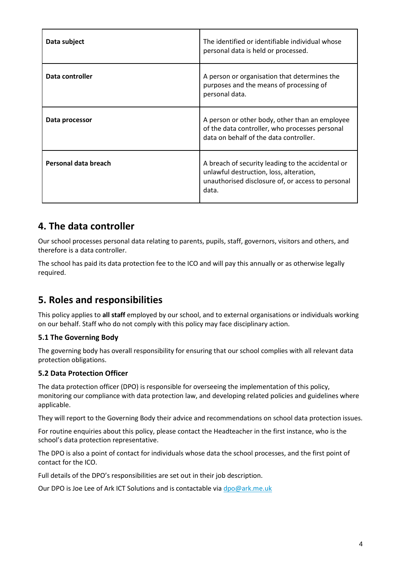| Data subject         | The identified or identifiable individual whose<br>personal data is held or processed.                                                                     |
|----------------------|------------------------------------------------------------------------------------------------------------------------------------------------------------|
| Data controller      | A person or organisation that determines the<br>purposes and the means of processing of<br>personal data.                                                  |
| Data processor       | A person or other body, other than an employee<br>of the data controller, who processes personal<br>data on behalf of the data controller.                 |
| Personal data breach | A breach of security leading to the accidental or<br>unlawful destruction, loss, alteration,<br>unauthorised disclosure of, or access to personal<br>data. |

## **4. The data controller**

Our school processes personal data relating to parents, pupils, staff, governors, visitors and others, and therefore is a data controller.

The school has paid its data protection fee to the ICO and will pay this annually or as otherwise legally required.

## **5. Roles and responsibilities**

This policy applies to **all staff** employed by our school, and to external organisations or individuals working on our behalf. Staff who do not comply with this policy may face disciplinary action.

#### **5.1 The Governing Body**

The governing body has overall responsibility for ensuring that our school complies with all relevant data protection obligations.

#### **5.2 Data Protection Officer**

The data protection officer (DPO) is responsible for overseeing the implementation of this policy, monitoring our compliance with data protection law, and developing related policies and guidelines where applicable.

They will report to the Governing Body their advice and recommendations on school data protection issues.

For routine enquiries about this policy, please contact the Headteacher in the first instance, who is the school's data protection representative.

The DPO is also a point of contact for individuals whose data the school processes, and the first point of contact for the ICO.

Full details of the DPO's responsibilities are set out in their job description.

Our DPO is Joe Lee of Ark ICT Solutions and is contactable vi[a dpo@ark.me.uk](mailto:dpo@ark.me.uk)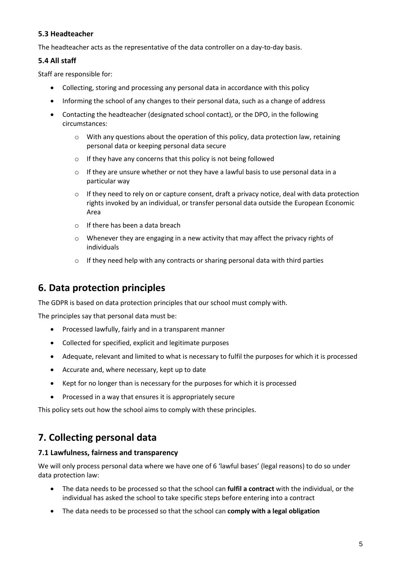#### **5.3 Headteacher**

The headteacher acts as the representative of the data controller on a day-to-day basis.

#### **5.4 All staff**

Staff are responsible for:

- Collecting, storing and processing any personal data in accordance with this policy
- Informing the school of any changes to their personal data, such as a change of address
- Contacting the headteacher (designated school contact), or the DPO, in the following circumstances:
	- $\circ$  With any questions about the operation of this policy, data protection law, retaining personal data or keeping personal data secure
	- o If they have any concerns that this policy is not being followed
	- $\circ$  If they are unsure whether or not they have a lawful basis to use personal data in a particular way
	- $\circ$  If they need to rely on or capture consent, draft a privacy notice, deal with data protection rights invoked by an individual, or transfer personal data outside the European Economic Area
	- o If there has been a data breach
	- o Whenever they are engaging in a new activity that may affect the privacy rights of individuals
	- o If they need help with any contracts or sharing personal data with third parties

## **6. Data protection principles**

The GDPR is based on data protection principles that our school must comply with.

The principles say that personal data must be:

- Processed lawfully, fairly and in a transparent manner
- Collected for specified, explicit and legitimate purposes
- Adequate, relevant and limited to what is necessary to fulfil the purposes for which it is processed
- Accurate and, where necessary, kept up to date
- Kept for no longer than is necessary for the purposes for which it is processed
- Processed in a way that ensures it is appropriately secure

This policy sets out how the school aims to comply with these principles.

## **7. Collecting personal data**

#### **7.1 Lawfulness, fairness and transparency**

We will only process personal data where we have one of 6 'lawful bases' (legal reasons) to do so under data protection law:

- The data needs to be processed so that the school can **fulfil a contract** with the individual, or the individual has asked the school to take specific steps before entering into a contract
- The data needs to be processed so that the school can **comply with a legal obligation**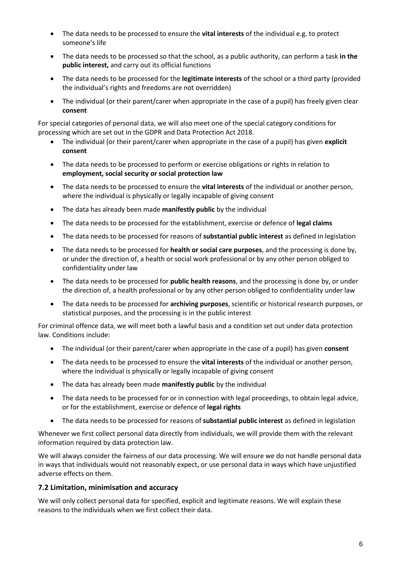- The data needs to be processed to ensure the **vital interests** of the individual e.g. to protect someone's life
- The data needs to be processed so that the school, as a public authority, can perform a task **in the public interest,** and carry out its official functions
- The data needs to be processed for the **legitimate interests** of the school or a third party (provided the individual's rights and freedoms are not overridden)
- The individual (or their parent/carer when appropriate in the case of a pupil) has freely given clear **consent**

For special categories of personal data, we will also meet one of the special category conditions for processing which are set out in the GDPR and Data Protection Act 2018.

- The individual (or their parent/carer when appropriate in the case of a pupil) has given **explicit consent**
- The data needs to be processed to perform or exercise obligations or rights in relation to **employment, social security or social protection law**
- The data needs to be processed to ensure the **vital interests** of the individual or another person, where the individual is physically or legally incapable of giving consent
- The data has already been made **manifestly public** by the individual
- The data needs to be processed for the establishment, exercise or defence of **legal claims**
- The data needs to be processed for reasons of **substantial public interest** as defined in legislation
- The data needs to be processed for **health or social care purposes**, and the processing is done by, or under the direction of, a health or social work professional or by any other person obliged to confidentiality under law
- The data needs to be processed for **public health reasons**, and the processing is done by, or under the direction of, a health professional or by any other person obliged to confidentiality under law
- The data needs to be processed for **archiving purposes**, scientific or historical research purposes, or statistical purposes, and the processing is in the public interest

For criminal offence data, we will meet both a lawful basis and a condition set out under data protection law. Conditions include:

- The individual (or their parent/carer when appropriate in the case of a pupil) has given **consent**
- The data needs to be processed to ensure the **vital interests** of the individual or another person, where the individual is physically or legally incapable of giving consent
- The data has already been made **manifestly public** by the individual
- The data needs to be processed for or in connection with legal proceedings, to obtain legal advice, or for the establishment, exercise or defence of **legal rights**
- The data needs to be processed for reasons of **substantial public interest** as defined in legislation

Whenever we first collect personal data directly from individuals, we will provide them with the relevant information required by data protection law.

We will always consider the fairness of our data processing. We will ensure we do not handle personal data in ways that individuals would not reasonably expect, or use personal data in ways which have unjustified adverse effects on them.

#### **7.2 Limitation, minimisation and accuracy**

We will only collect personal data for specified, explicit and legitimate reasons. We will explain these reasons to the individuals when we first collect their data.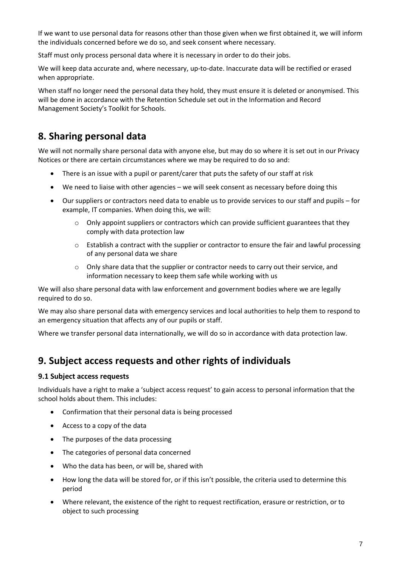If we want to use personal data for reasons other than those given when we first obtained it, we will inform the individuals concerned before we do so, and seek consent where necessary.

Staff must only process personal data where it is necessary in order to do their jobs.

We will keep data accurate and, where necessary, up-to-date. Inaccurate data will be rectified or erased when appropriate.

When staff no longer need the personal data they hold, they must ensure it is deleted or anonymised. This will be done in accordance with the Retention Schedule set out in the Information and Record Management Society's Toolkit for Schools.

## **8. Sharing personal data**

We will not normally share personal data with anyone else, but may do so where it is set out in our Privacy Notices or there are certain circumstances where we may be required to do so and:

- There is an issue with a pupil or parent/carer that puts the safety of our staff at risk
- We need to liaise with other agencies we will seek consent as necessary before doing this
- Our suppliers or contractors need data to enable us to provide services to our staff and pupils for example, IT companies. When doing this, we will:
	- $\circ$  Only appoint suppliers or contractors which can provide sufficient guarantees that they comply with data protection law
	- $\circ$  Establish a contract with the supplier or contractor to ensure the fair and lawful processing of any personal data we share
	- $\circ$  Only share data that the supplier or contractor needs to carry out their service, and information necessary to keep them safe while working with us

We will also share personal data with law enforcement and government bodies where we are legally required to do so.

We may also share personal data with emergency services and local authorities to help them to respond to an emergency situation that affects any of our pupils or staff.

Where we transfer personal data internationally, we will do so in accordance with data protection law.

## **9. Subject access requests and other rights of individuals**

#### **9.1 Subject access requests**

Individuals have a right to make a 'subject access request' to gain access to personal information that the school holds about them. This includes:

- Confirmation that their personal data is being processed
- Access to a copy of the data
- The purposes of the data processing
- The categories of personal data concerned
- Who the data has been, or will be, shared with
- How long the data will be stored for, or if this isn't possible, the criteria used to determine this period
- Where relevant, the existence of the right to request rectification, erasure or restriction, or to object to such processing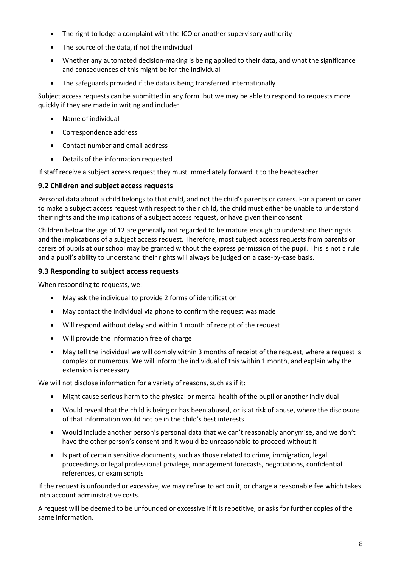- The right to lodge a complaint with the ICO or another supervisory authority
- The source of the data, if not the individual
- Whether any automated decision-making is being applied to their data, and what the significance and consequences of this might be for the individual
- The safeguards provided if the data is being transferred internationally

Subject access requests can be submitted in any form, but we may be able to respond to requests more quickly if they are made in writing and include:

- Name of individual
- Correspondence address
- Contact number and email address
- Details of the information requested

If staff receive a subject access request they must immediately forward it to the headteacher.

#### **9.2 Children and subject access requests**

Personal data about a child belongs to that child, and not the child's parents or carers. For a parent or carer to make a subject access request with respect to their child, the child must either be unable to understand their rights and the implications of a subject access request, or have given their consent.

Children below the age of 12 are generally not regarded to be mature enough to understand their rights and the implications of a subject access request. Therefore, most subject access requests from parents or carers of pupils at our school may be granted without the express permission of the pupil. This is not a rule and a pupil's ability to understand their rights will always be judged on a case-by-case basis.

#### **9.3 Responding to subject access requests**

When responding to requests, we:

- May ask the individual to provide 2 forms of identification
- May contact the individual via phone to confirm the request was made
- Will respond without delay and within 1 month of receipt of the request
- Will provide the information free of charge
- May tell the individual we will comply within 3 months of receipt of the request, where a request is complex or numerous. We will inform the individual of this within 1 month, and explain why the extension is necessary

We will not disclose information for a variety of reasons, such as if it:

- Might cause serious harm to the physical or mental health of the pupil or another individual
- Would reveal that the child is being or has been abused, or is at risk of abuse, where the disclosure of that information would not be in the child's best interests
- Would include another person's personal data that we can't reasonably anonymise, and we don't have the other person's consent and it would be unreasonable to proceed without it
- Is part of certain sensitive documents, such as those related to crime, immigration, legal proceedings or legal professional privilege, management forecasts, negotiations, confidential references, or exam scripts

If the request is unfounded or excessive, we may refuse to act on it, or charge a reasonable fee which takes into account administrative costs.

A request will be deemed to be unfounded or excessive if it is repetitive, or asks for further copies of the same information.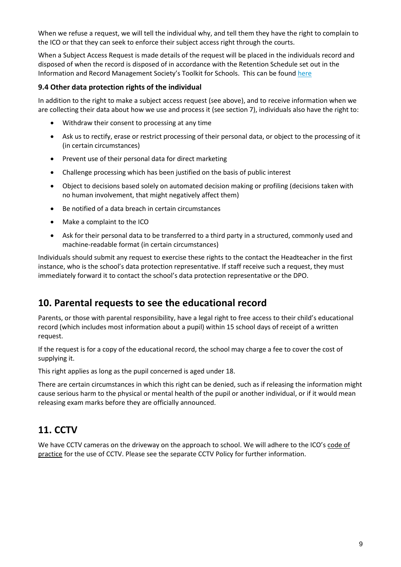When we refuse a request, we will tell the individual why, and tell them they have the right to complain to the ICO or that they can seek to enforce their subject access right through the courts.

When a Subject Access Request is made details of the request will be placed in the individuals record and disposed of when the record is disposed of in accordance with the Retention Schedule set out in the Information and Record Management Society's Toolkit for Schools. This can be found [here](http://irms.org.uk/?page=schoolstoolkit&terms=%22toolkit+and+schools%22)

#### **9.4 Other data protection rights of the individual**

In addition to the right to make a subject access request (see above), and to receive information when we are collecting their data about how we use and process it (see section 7), individuals also have the right to:

- Withdraw their consent to processing at any time
- Ask us to rectify, erase or restrict processing of their personal data, or object to the processing of it (in certain circumstances)
- Prevent use of their personal data for direct marketing
- Challenge processing which has been justified on the basis of public interest
- Object to decisions based solely on automated decision making or profiling (decisions taken with no human involvement, that might negatively affect them)
- Be notified of a data breach in certain circumstances
- Make a complaint to the ICO
- Ask for their personal data to be transferred to a third party in a structured, commonly used and machine-readable format (in certain circumstances)

Individuals should submit any request to exercise these rights to the contact the Headteacher in the first instance, who is the school's data protection representative. If staff receive such a request, they must immediately forward it to contact the school's data protection representative or the DPO.

## **10. Parental requests to see the educational record**

Parents, or those with parental responsibility, have a legal right to free access to their child's educational record (which includes most information about a pupil) within 15 school days of receipt of a written request.

If the request is for a copy of the educational record, the school may charge a fee to cover the cost of supplying it.

This right applies as long as the pupil concerned is aged under 18.

There are certain circumstances in which this right can be denied, such as if releasing the information might cause serious harm to the physical or mental health of the pupil or another individual, or if it would mean releasing exam marks before they are officially announced.

## **11. CCTV**

We have CCTV cameras on the driveway on the approach to school. We will adhere to the ICO's code of [practice](https://ico.org.uk/media/for-organisations/documents/1542/cctv-code-of-practice.pdf) for the use of CCTV. Please see the separate CCTV Policy for further information.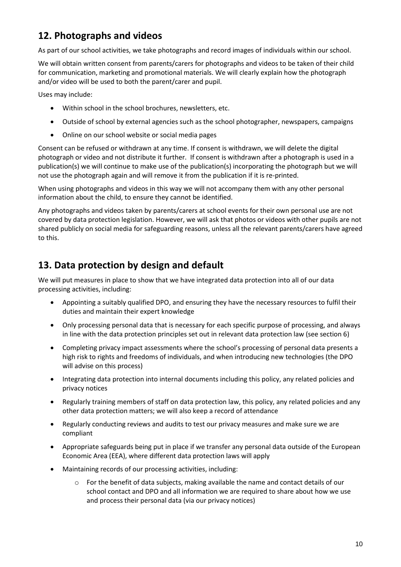## **12. Photographs and videos**

As part of our school activities, we take photographs and record images of individuals within our school.

We will obtain written consent from parents/carers for photographs and videos to be taken of their child for communication, marketing and promotional materials. We will clearly explain how the photograph and/or video will be used to both the parent/carer and pupil.

Uses may include:

- Within school in the school brochures, newsletters, etc.
- Outside of school by external agencies such as the school photographer, newspapers, campaigns
- Online on our school website or social media pages

Consent can be refused or withdrawn at any time. If consent is withdrawn, we will delete the digital photograph or video and not distribute it further. If consent is withdrawn after a photograph is used in a publication(s) we will continue to make use of the publication(s) incorporating the photograph but we will not use the photograph again and will remove it from the publication if it is re-printed.

When using photographs and videos in this way we will not accompany them with any other personal information about the child, to ensure they cannot be identified.

Any photographs and videos taken by parents/carers at school events for their own personal use are not covered by data protection legislation. However, we will ask that photos or videos with other pupils are not shared publicly on social media for safeguarding reasons, unless all the relevant parents/carers have agreed to this.

## **13. Data protection by design and default**

We will put measures in place to show that we have integrated data protection into all of our data processing activities, including:

- Appointing a suitably qualified DPO, and ensuring they have the necessary resources to fulfil their duties and maintain their expert knowledge
- Only processing personal data that is necessary for each specific purpose of processing, and always in line with the data protection principles set out in relevant data protection law (see section 6)
- Completing privacy impact assessments where the school's processing of personal data presents a high risk to rights and freedoms of individuals, and when introducing new technologies (the DPO will advise on this process)
- Integrating data protection into internal documents including this policy, any related policies and privacy notices
- Regularly training members of staff on data protection law, this policy, any related policies and any other data protection matters; we will also keep a record of attendance
- Regularly conducting reviews and audits to test our privacy measures and make sure we are compliant
- Appropriate safeguards being put in place if we transfer any personal data outside of the European Economic Area (EEA), where different data protection laws will apply
- Maintaining records of our processing activities, including:
	- $\circ$  For the benefit of data subjects, making available the name and contact details of our school contact and DPO and all information we are required to share about how we use and process their personal data (via our privacy notices)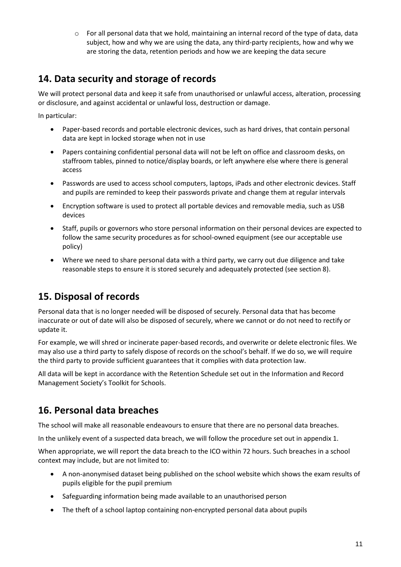$\circ$  For all personal data that we hold, maintaining an internal record of the type of data, data subject, how and why we are using the data, any third-party recipients, how and why we are storing the data, retention periods and how we are keeping the data secure

## **14. Data security and storage of records**

We will protect personal data and keep it safe from unauthorised or unlawful access, alteration, processing or disclosure, and against accidental or unlawful loss, destruction or damage.

In particular:

- Paper-based records and portable electronic devices, such as hard drives, that contain personal data are kept in locked storage when not in use
- Papers containing confidential personal data will not be left on office and classroom desks, on staffroom tables, pinned to notice/display boards, or left anywhere else where there is general access
- Passwords are used to access school computers, laptops, iPads and other electronic devices. Staff and pupils are reminded to keep their passwords private and change them at regular intervals
- Encryption software is used to protect all portable devices and removable media, such as USB devices
- Staff, pupils or governors who store personal information on their personal devices are expected to follow the same security procedures as for school-owned equipment (see our acceptable use policy)
- Where we need to share personal data with a third party, we carry out due diligence and take reasonable steps to ensure it is stored securely and adequately protected (see section 8).

## **15. Disposal of records**

Personal data that is no longer needed will be disposed of securely. Personal data that has become inaccurate or out of date will also be disposed of securely, where we cannot or do not need to rectify or update it.

For example, we will shred or incinerate paper-based records, and overwrite or delete electronic files. We may also use a third party to safely dispose of records on the school's behalf. If we do so, we will require the third party to provide sufficient guarantees that it complies with data protection law.

All data will be kept in accordance with the Retention Schedule set out in the Information and Record Management Society's Toolkit for Schools.

## **16. Personal data breaches**

The school will make all reasonable endeavours to ensure that there are no personal data breaches.

In the unlikely event of a suspected data breach, we will follow the procedure set out in appendix 1.

When appropriate, we will report the data breach to the ICO within 72 hours. Such breaches in a school context may include, but are not limited to:

- A non-anonymised dataset being published on the school website which shows the exam results of pupils eligible for the pupil premium
- Safeguarding information being made available to an unauthorised person
- The theft of a school laptop containing non-encrypted personal data about pupils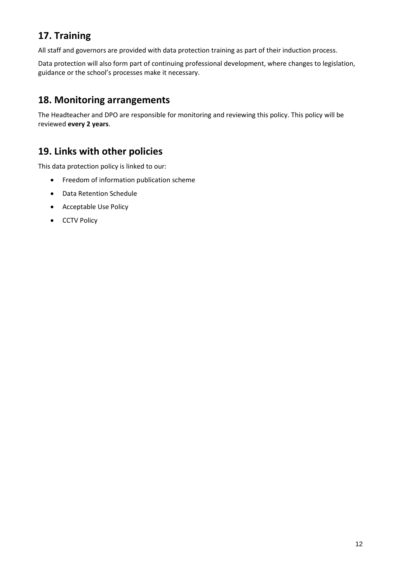# **17. Training**

All staff and governors are provided with data protection training as part of their induction process.

Data protection will also form part of continuing professional development, where changes to legislation, guidance or the school's processes make it necessary.

## **18. Monitoring arrangements**

The Headteacher and DPO are responsible for monitoring and reviewing this policy. This policy will be reviewed **every 2 years**.

## **19. Links with other policies**

This data protection policy is linked to our:

- Freedom of information publication scheme
- Data Retention Schedule
- Acceptable Use Policy
- CCTV Policy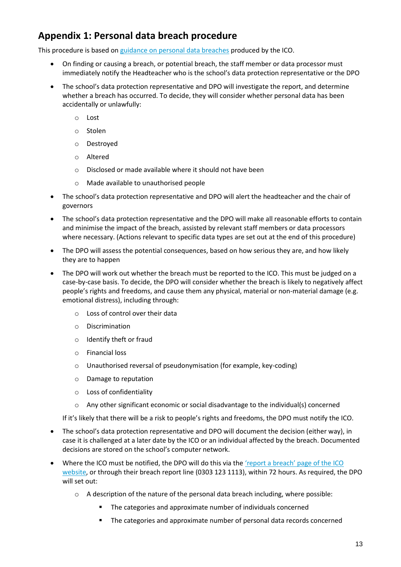# **Appendix 1: Personal data breach procedure**

This procedure is based o[n guidance on personal data breaches](https://ico.org.uk/for-organisations/guide-to-the-general-data-protection-regulation-gdpr/personal-data-breaches/) produced by the ICO.

- On finding or causing a breach, or potential breach, the staff member or data processor must immediately notify the Headteacher who is the school's data protection representative or the DPO
- The school's data protection representative and DPO will investigate the report, and determine whether a breach has occurred. To decide, they will consider whether personal data has been accidentally or unlawfully:
	- o Lost
	- o Stolen
	- o Destroyed
	- o Altered
	- o Disclosed or made available where it should not have been
	- o Made available to unauthorised people
- The school's data protection representative and DPO will alert the headteacher and the chair of governors
- The school's data protection representative and the DPO will make all reasonable efforts to contain and minimise the impact of the breach, assisted by relevant staff members or data processors where necessary. (Actions relevant to specific data types are set out at the end of this procedure)
- The DPO will assess the potential consequences, based on how serious they are, and how likely they are to happen
- The DPO will work out whether the breach must be reported to the ICO. This must be judged on a case-by-case basis. To decide, the DPO will consider whether the breach is likely to negatively affect people's rights and freedoms, and cause them any physical, material or non-material damage (e.g. emotional distress), including through:
	- o Loss of control over their data
	- o Discrimination
	- o Identify theft or fraud
	- o Financial loss
	- o Unauthorised reversal of pseudonymisation (for example, key-coding)
	- o Damage to reputation
	- o Loss of confidentiality
	- $\circ$  Any other significant economic or social disadvantage to the individual(s) concerned

If it's likely that there will be a risk to people's rights and freedoms, the DPO must notify the ICO.

- The school's data protection representative and DPO will document the decision (either way), in case it is challenged at a later date by the ICO or an individual affected by the breach. Documented decisions are stored on the school's computer network.
- Where the ICO must be notified, the DPO will do this via the ['report a breach' page of the ICO](https://ico.org.uk/for-organisations/report-a-breach/)  [website,](https://ico.org.uk/for-organisations/report-a-breach/) or through their breach report line (0303 123 1113), within 72 hours. As required, the DPO will set out:
	- $\circ$  A description of the nature of the personal data breach including, where possible:
		- The categories and approximate number of individuals concerned
		- The categories and approximate number of personal data records concerned